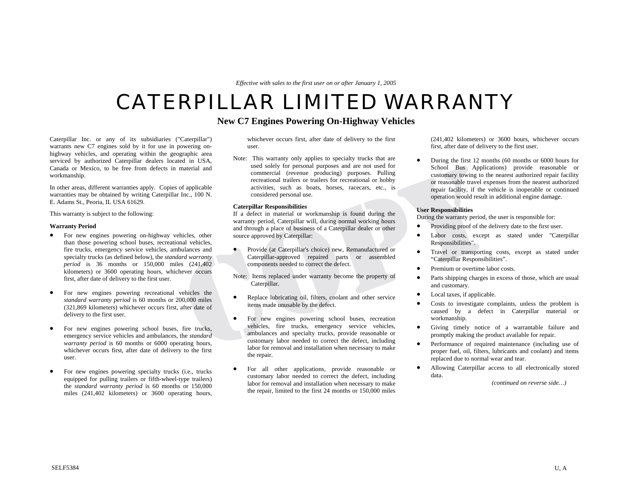*Effective with sales to the first user on or after January 1, 2005* 

# CATERPILLAR LIMITED WARRANTY

# **New C7 Engines Powering On-Highway Vehicles**

Caterpillar Inc. or any of its subsidiaries ("Caterpillar") warrants new C7 engines sold by it for use in powering onhighway vehicles, and operating within the geographic area serviced by authorized Caterpillar dealers located in USA, Canada or Mexico, to be free from defects in material and workmanship.

In other areas, different warranties apply. Copies of applicable warranties may be obtained by writing Caterpillar Inc., 100 N. E. Adams St., Peoria, IL USA 61629.

This warranty is subject to the following:

#### **Warranty Period**

- For new engines powering on-highway vehicles, other than those powering school buses, recreational vehicles, fire trucks, emergency service vehicles, ambulances and specialty trucks (as defined below), the *standard warranty period* is 36 months or 150,000 miles (241,402 kilometers) or 3600 operating hours, whichever occurs first, after date of delivery to the first user.
- For new engines powering recreational vehicles the *standard warranty period* is 60 months or 200,000 miles (321,869 kilometers) whichever occurs first, after date of delivery to the first user.
- For new engines powering school buses, fire trucks, emergency service vehicles and ambulances, the *standard warranty period* is 60 months or 6000 operating hours, whichever occurs first, after date of delivery to the first user.
- For new engines powering specialty trucks (i.e., trucks equipped for pulling trailers or fifth-wheel-type trailers) the *standard warranty period* is 60 months or 150,000 miles (241,402 kilometers) or 3600 operating hours,

whichever occurs first, after date of delivery to the first user.

Note: This warranty only applies to specialty trucks that are used solely for personal purposes and are not used for commercial (revenue producing) purposes. Pulling recreational trailers or trailers for recreational or hobby activities, such as boats, horses, racecars, etc., is considered personal use.

## **Caterpillar Responsibilities**

If a defect in material or workmanship is found during the warranty period, Caterpillar will, during normal working hours and through a place of business of a Caterpillar dealer or other source approved by Caterpillar:

- Provide (at Caterpillar's choice) new, Remanufactured or Caterpillar-approved repaired parts or assembled components needed to correct the defect.
- Note: Items replaced under warranty become the property of Caterpillar.
- Replace lubricating oil, filters, coolant and other service items made unusable by the defect.
- For new engines powering school buses, recreation vehicles, fire trucks, emergency service vehicles, ambulances and specialty trucks, provide reasonable or customary labor needed to correct the defect, including labor for removal and installation when necessary to make the repair.
- For all other applications, provide reasonable or customary labor needed to correct the defect, including labor for removal and installation when necessary to make the repair, limited to the first 24 months or 150,000 miles

(241,402 kilometers) or 3600 hours, whichever occurs first, after date of delivery to the first user.

• During the first 12 months (60 months or 6000 hours for School Bus Applications) provide reasonable or customary towing to the nearest authorized repair facility or reasonable travel expenses from the nearest authorized repair facility, if the vehicle is inoperable or continued operation would result in additional engine damage.

### **User Responsibilities**

During the warranty period*,* the user is responsible for:

- Providing proof of the delivery date to the first user.
- Labor costs, except as stated under "Caterpillar Responsibilities".
- Travel or transporting costs, except as stated under "Caterpillar Responsibilities".
- Premium or overtime labor costs.
- Parts shipping charges in excess of those, which are usual and customary.
- Local taxes, if applicable.
- Costs to investigate complaints, unless the problem is caused by a defect in Caterpillar material or workmanship.
- Giving timely notice of a warrantable failure and promptly making the product available for repair.
- Performance of required maintenance (including use of proper fuel, oil, filters, lubricants and coolant) and items replaced due to normal wear and tear.
- Allowing Caterpillar access to all electronically stored data.

*(continued on reverse side…)*